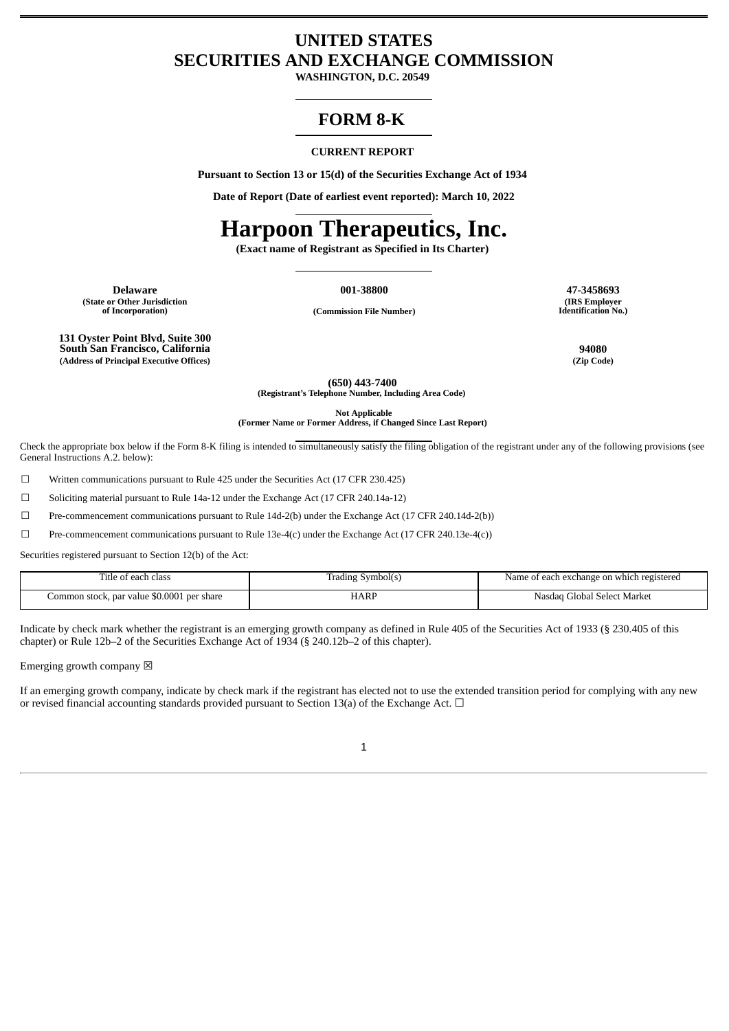## **UNITED STATES SECURITIES AND EXCHANGE COMMISSION**

**WASHINGTON, D.C. 20549**

# **FORM 8-K**

### **CURRENT REPORT**

**Pursuant to Section 13 or 15(d) of the Securities Exchange Act of 1934**

**Date of Report (Date of earliest event reported): March 10, 2022**

# **Harpoon Therapeutics, Inc.**

**(Exact name of Registrant as Specified in Its Charter)**

**Delaware 001-38800 47-3458693 (State or Other Jurisdiction**

**(IRS Employer**

**Identification No.)**

**of Incorporation) (Commission File Number)**

**131 Oyster Point Blvd, Suite 300 South San Francisco, California 94080 (Address of Principal Executive Offices) (Zip Code)**

**(650) 443-7400 (Registrant's Telephone Number, Including Area Code)**

**Not Applicable**

**(Former Name or Former Address, if Changed Since Last Report)**

Check the appropriate box below if the Form 8-K filing is intended to simultaneously satisfy the filing obligation of the registrant under any of the following provisions (see General Instructions A.2. below):

☐ Written communications pursuant to Rule 425 under the Securities Act (17 CFR 230.425)

☐ Soliciting material pursuant to Rule 14a-12 under the Exchange Act (17 CFR 240.14a-12)

☐ Pre-commencement communications pursuant to Rule 14d-2(b) under the Exchange Act (17 CFR 240.14d-2(b))

☐ Pre-commencement communications pursuant to Rule 13e-4(c) under the Exchange Act (17 CFR 240.13e-4(c))

Securities registered pursuant to Section 12(b) of the Act:

| Title of each class                        | [rading Svmbol(s) | e of each exchange on which registered<br>Name |
|--------------------------------------------|-------------------|------------------------------------------------|
| Common stock, par value \$0.0001 per share | HARP              | Global Select Market)<br>Nasdad                |

Indicate by check mark whether the registrant is an emerging growth company as defined in Rule 405 of the Securities Act of 1933 (§ 230.405 of this chapter) or Rule 12b–2 of the Securities Exchange Act of 1934 (§ 240.12b–2 of this chapter).

Emerging growth company  $\boxtimes$ 

If an emerging growth company, indicate by check mark if the registrant has elected not to use the extended transition period for complying with any new or revised financial accounting standards provided pursuant to Section 13(a) of the Exchange Act.  $\Box$ 

1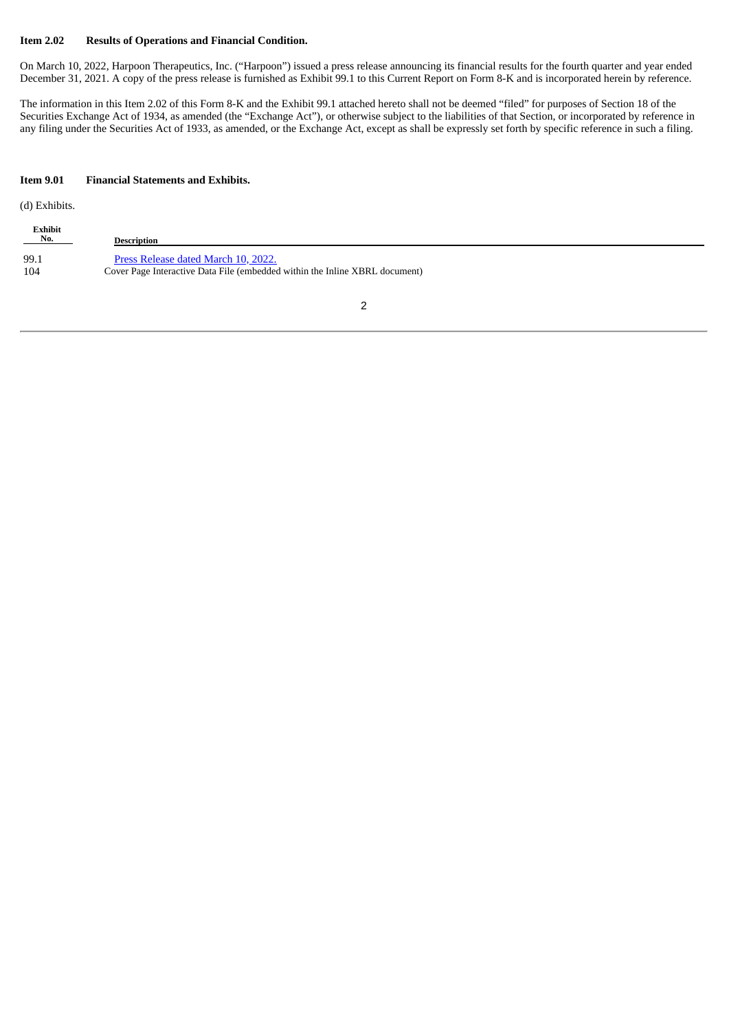## **Item 2.02 Results of Operations and Financial Condition.**

On March 10, 2022, Harpoon Therapeutics, Inc. ("Harpoon") issued a press release announcing its financial results for the fourth quarter and year ended December 31, 2021. A copy of the press release is furnished as Exhibit 99.1 to this Current Report on Form 8-K and is incorporated herein by reference.

The information in this Item 2.02 of this Form 8-K and the Exhibit 99.1 attached hereto shall not be deemed "filed" for purposes of Section 18 of the Securities Exchange Act of 1934, as amended (the "Exchange Act"), or otherwise subject to the liabilities of that Section, or incorporated by reference in any filing under the Securities Act of 1933, as amended, or the Exchange Act, except as shall be expressly set forth by specific reference in such a filing.

## **Item 9.01 Financial Statements and Exhibits.**

(d) Exhibits.

| Exhibit<br>$N_0$ . | <b>Description</b>                                                          |
|--------------------|-----------------------------------------------------------------------------|
| 99.1               | Press Release dated March 10, 2022.                                         |
| 104                | Cover Page Interactive Data File (embedded within the Inline XBRL document) |

2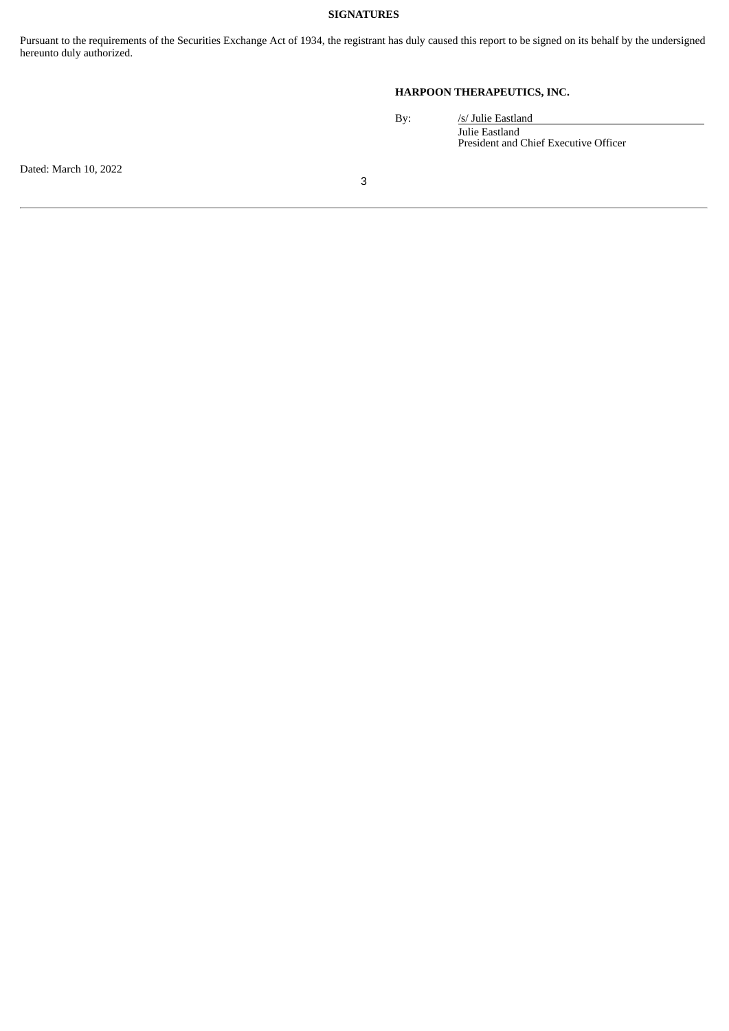## **SIGNATURES**

Pursuant to the requirements of the Securities Exchange Act of 1934, the registrant has duly caused this report to be signed on its behalf by the undersigned hereunto duly authorized.

## **HARPOON THERAPEUTICS, INC.**

| /s/ Julie Eastland                    |
|---------------------------------------|
| Julie Eastland                        |
| President and Chief Executive Officer |

Dated: March 10, 2022

By: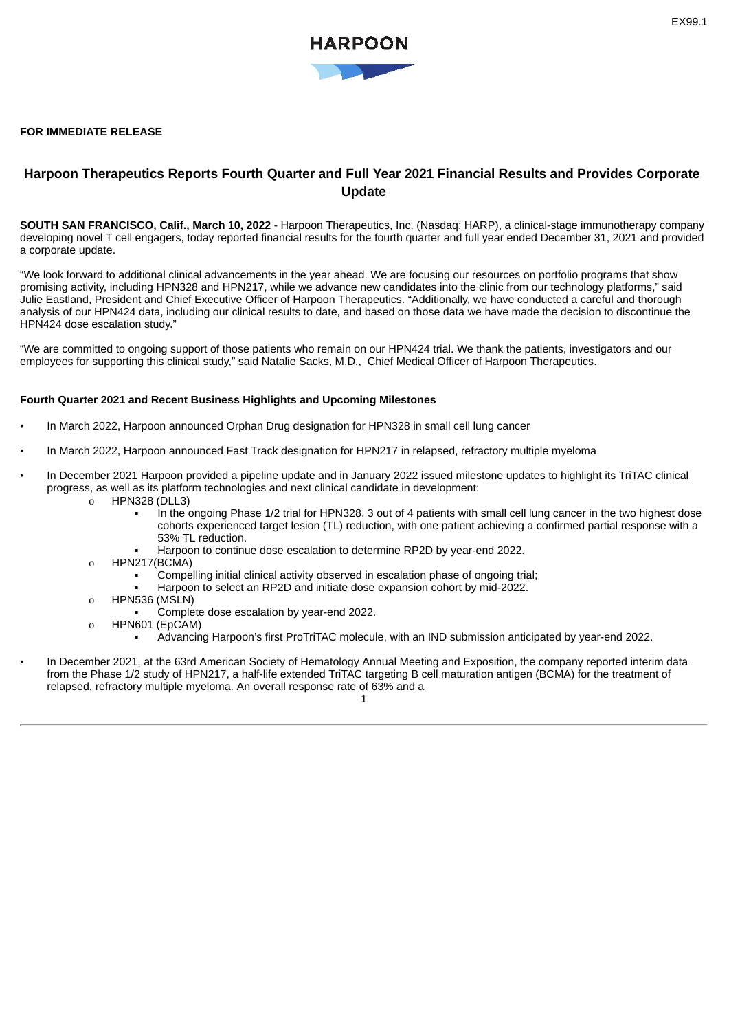## <span id="page-3-0"></span>**FOR IMMEDIATE RELEASE**

## **Harpoon Therapeutics Reports Fourth Quarter and Full Year 2021 Financial Results and Provides Corporate Update**

**SOUTH SAN FRANCISCO, Calif., March 10, 2022** - Harpoon Therapeutics, Inc. (Nasdaq: HARP), a clinical-stage immunotherapy company developing novel T cell engagers, today reported financial results for the fourth quarter and full year ended December 31, 2021 and provided a corporate update.

"We look forward to additional clinical advancements in the year ahead. We are focusing our resources on portfolio programs that show promising activity, including HPN328 and HPN217, while we advance new candidates into the clinic from our technology platforms," said Julie Eastland, President and Chief Executive Officer of Harpoon Therapeutics. "Additionally, we have conducted a careful and thorough analysis of our HPN424 data, including our clinical results to date, and based on those data we have made the decision to discontinue the HPN424 dose escalation study."

"We are committed to ongoing support of those patients who remain on our HPN424 trial. We thank the patients, investigators and our employees for supporting this clinical study," said Natalie Sacks, M.D., Chief Medical Officer of Harpoon Therapeutics.

### **Fourth Quarter 2021 and Recent Business Highlights and Upcoming Milestones**

- In March 2022, Harpoon announced Orphan Drug designation for HPN328 in small cell lung cancer
- In March 2022, Harpoon announced Fast Track designation for HPN217 in relapsed, refractory multiple myeloma
- In December 2021 Harpoon provided a pipeline update and in January 2022 issued milestone updates to highlight its TriTAC clinical progress, as well as its platform technologies and next clinical candidate in development:
	- o HPN328 (DLL3)
		- In the ongoing Phase 1/2 trial for HPN328, 3 out of 4 patients with small cell lung cancer in the two highest dose cohorts experienced target lesion (TL) reduction, with one patient achieving a confirmed partial response with a 53% TL reduction.
		- Harpoon to continue dose escalation to determine RP2D by year-end 2022.
	- o HPN217(BCMA)
		- Compelling initial clinical activity observed in escalation phase of ongoing trial;
		- Harpoon to select an RP2D and initiate dose expansion cohort by mid-2022.
	- o HPN536 (MSLN)
		- Complete dose escalation by year-end 2022.
	- o HPN601 (EpCAM)
		- Advancing Harpoon's first ProTriTAC molecule, with an IND submission anticipated by year-end 2022.
- In December 2021, at the 63rd American Society of Hematology Annual Meeting and Exposition, the company reported interim data from the Phase 1/2 study of HPN217, a half-life extended TriTAC targeting B cell maturation antigen (BCMA) for the treatment of relapsed, refractory multiple myeloma. An overall response rate of 63% and a

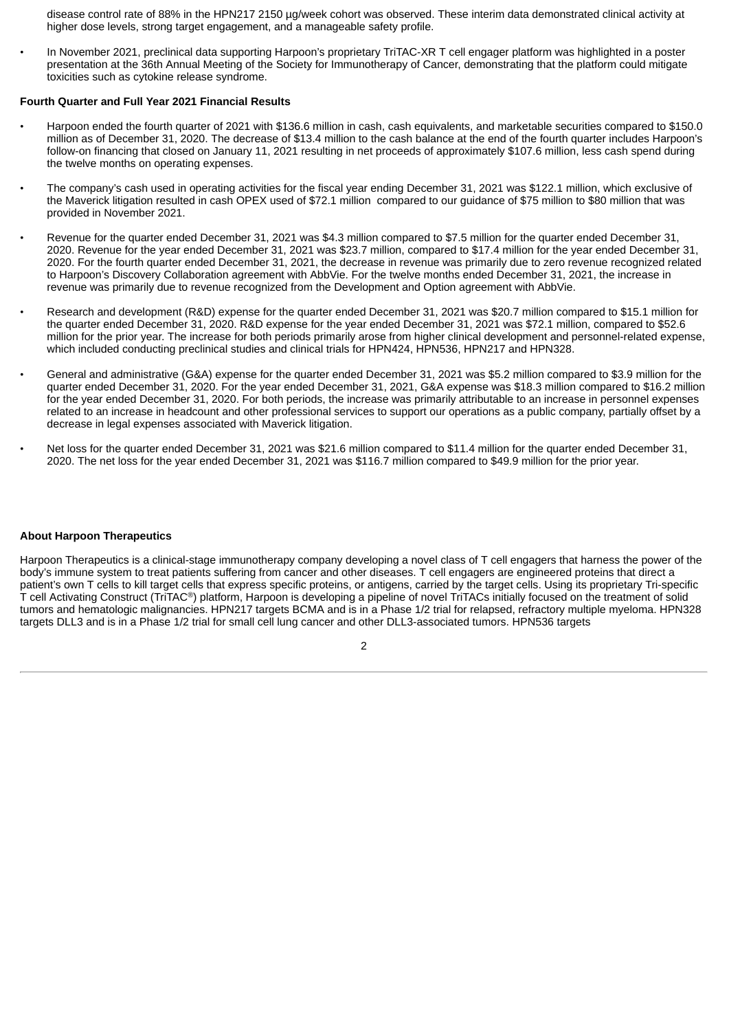disease control rate of 88% in the HPN217 2150 µg/week cohort was observed. These interim data demonstrated clinical activity at higher dose levels, strong target engagement, and a manageable safety profile.

• In November 2021, preclinical data supporting Harpoon's proprietary TriTAC-XR T cell engager platform was highlighted in a poster presentation at the 36th Annual Meeting of the Society for Immunotherapy of Cancer, demonstrating that the platform could mitigate toxicities such as cytokine release syndrome.

## **Fourth Quarter and Full Year 2021 Financial Results**

- Harpoon ended the fourth quarter of 2021 with \$136.6 million in cash, cash equivalents, and marketable securities compared to \$150.0 million as of December 31, 2020. The decrease of \$13.4 million to the cash balance at the end of the fourth quarter includes Harpoon's follow-on financing that closed on January 11, 2021 resulting in net proceeds of approximately \$107.6 million, less cash spend during the twelve months on operating expenses.
- The company's cash used in operating activities for the fiscal year ending December 31, 2021 was \$122.1 million, which exclusive of the Maverick litigation resulted in cash OPEX used of \$72.1 million compared to our guidance of \$75 million to \$80 million that was provided in November 2021.
- Revenue for the quarter ended December 31, 2021 was \$4.3 million compared to \$7.5 million for the quarter ended December 31, 2020. Revenue for the year ended December 31, 2021 was \$23.7 million, compared to \$17.4 million for the year ended December 31, 2020. For the fourth quarter ended December 31, 2021, the decrease in revenue was primarily due to zero revenue recognized related to Harpoon's Discovery Collaboration agreement with AbbVie. For the twelve months ended December 31, 2021, the increase in revenue was primarily due to revenue recognized from the Development and Option agreement with AbbVie.
- Research and development (R&D) expense for the quarter ended December 31, 2021 was \$20.7 million compared to \$15.1 million for the quarter ended December 31, 2020. R&D expense for the year ended December 31, 2021 was \$72.1 million, compared to \$52.6 million for the prior year. The increase for both periods primarily arose from higher clinical development and personnel-related expense, which included conducting preclinical studies and clinical trials for HPN424, HPN536, HPN217 and HPN328.
- General and administrative (G&A) expense for the quarter ended December 31, 2021 was \$5.2 million compared to \$3.9 million for the quarter ended December 31, 2020. For the year ended December 31, 2021, G&A expense was \$18.3 million compared to \$16.2 million for the year ended December 31, 2020. For both periods, the increase was primarily attributable to an increase in personnel expenses related to an increase in headcount and other professional services to support our operations as a public company, partially offset by a decrease in legal expenses associated with Maverick litigation.
- Net loss for the quarter ended December 31, 2021 was \$21.6 million compared to \$11.4 million for the quarter ended December 31, 2020. The net loss for the year ended December 31, 2021 was \$116.7 million compared to \$49.9 million for the prior year.

#### **About Harpoon Therapeutics**

Harpoon Therapeutics is a clinical-stage immunotherapy company developing a novel class of T cell engagers that harness the power of the body's immune system to treat patients suffering from cancer and other diseases. T cell engagers are engineered proteins that direct a patient's own T cells to kill target cells that express specific proteins, or antigens, carried by the target cells. Using its proprietary Tri-specific T cell Activating Construct (TriTAC®) platform, Harpoon is developing a pipeline of novel TriTACs initially focused on the treatment of solid tumors and hematologic malignancies. HPN217 targets BCMA and is in a Phase 1/2 trial for relapsed, refractory multiple myeloma. HPN328 targets DLL3 and is in a Phase 1/2 trial for small cell lung cancer and other DLL3-associated tumors. HPN536 targets

 $\overline{2}$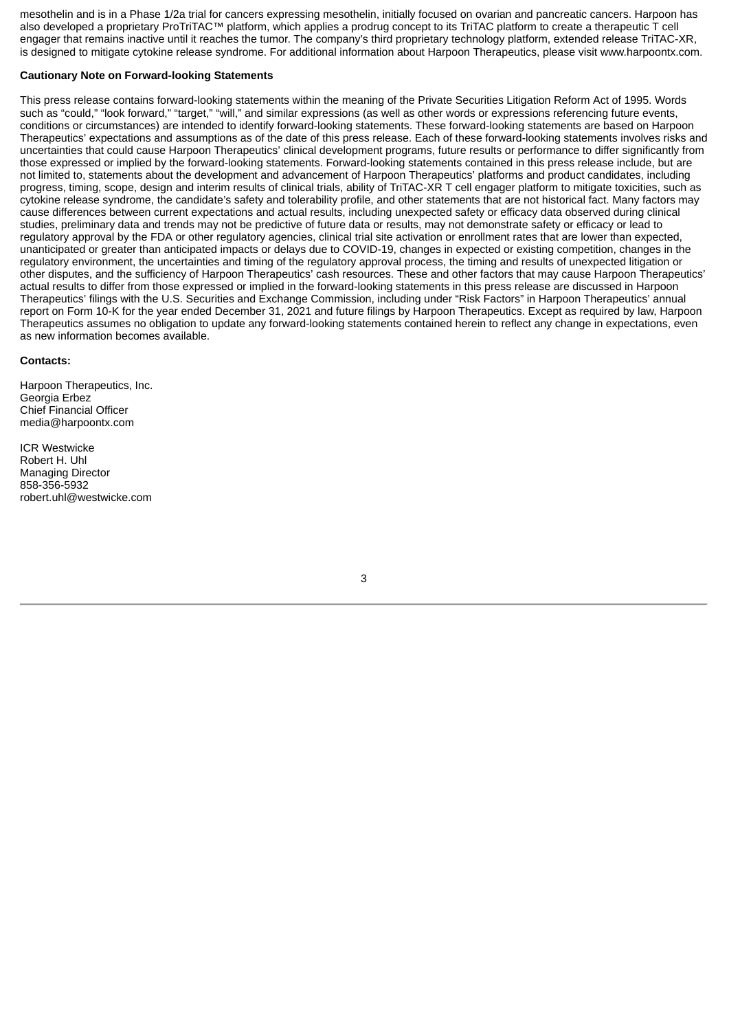mesothelin and is in a Phase 1/2a trial for cancers expressing mesothelin, initially focused on ovarian and pancreatic cancers. Harpoon has also developed a proprietary ProTriTAC™ platform, which applies a prodrug concept to its TriTAC platform to create a therapeutic T cell engager that remains inactive until it reaches the tumor. The company's third proprietary technology platform, extended release TriTAC-XR, is designed to mitigate cytokine release syndrome. For additional information about Harpoon Therapeutics, please visit www.harpoontx.com.

## **Cautionary Note on Forward-looking Statements**

This press release contains forward-looking statements within the meaning of the Private Securities Litigation Reform Act of 1995. Words such as "could," "look forward," "target," "will," and similar expressions (as well as other words or expressions referencing future events, conditions or circumstances) are intended to identify forward-looking statements. These forward-looking statements are based on Harpoon Therapeutics' expectations and assumptions as of the date of this press release. Each of these forward-looking statements involves risks and uncertainties that could cause Harpoon Therapeutics' clinical development programs, future results or performance to differ significantly from those expressed or implied by the forward-looking statements. Forward-looking statements contained in this press release include, but are not limited to, statements about the development and advancement of Harpoon Therapeutics' platforms and product candidates, including progress, timing, scope, design and interim results of clinical trials, ability of TriTAC-XR T cell engager platform to mitigate toxicities, such as cytokine release syndrome, the candidate's safety and tolerability profile, and other statements that are not historical fact. Many factors may cause differences between current expectations and actual results, including unexpected safety or efficacy data observed during clinical studies, preliminary data and trends may not be predictive of future data or results, may not demonstrate safety or efficacy or lead to regulatory approval by the FDA or other regulatory agencies, clinical trial site activation or enrollment rates that are lower than expected, unanticipated or greater than anticipated impacts or delays due to COVID-19, changes in expected or existing competition, changes in the regulatory environment, the uncertainties and timing of the regulatory approval process, the timing and results of unexpected litigation or other disputes, and the sufficiency of Harpoon Therapeutics' cash resources. These and other factors that may cause Harpoon Therapeutics' actual results to differ from those expressed or implied in the forward-looking statements in this press release are discussed in Harpoon Therapeutics' filings with the U.S. Securities and Exchange Commission, including under "Risk Factors" in Harpoon Therapeutics' annual report on Form 10-K for the year ended December 31, 2021 and future filings by Harpoon Therapeutics. Except as required by law, Harpoon Therapeutics assumes no obligation to update any forward-looking statements contained herein to reflect any change in expectations, even as new information becomes available.

#### **Contacts:**

Harpoon Therapeutics, Inc. Georgia Erbez Chief Financial Officer media@harpoontx.com

ICR Westwicke Robert H. Uhl Managing Director 858-356-5932 robert.uhl@westwicke.com